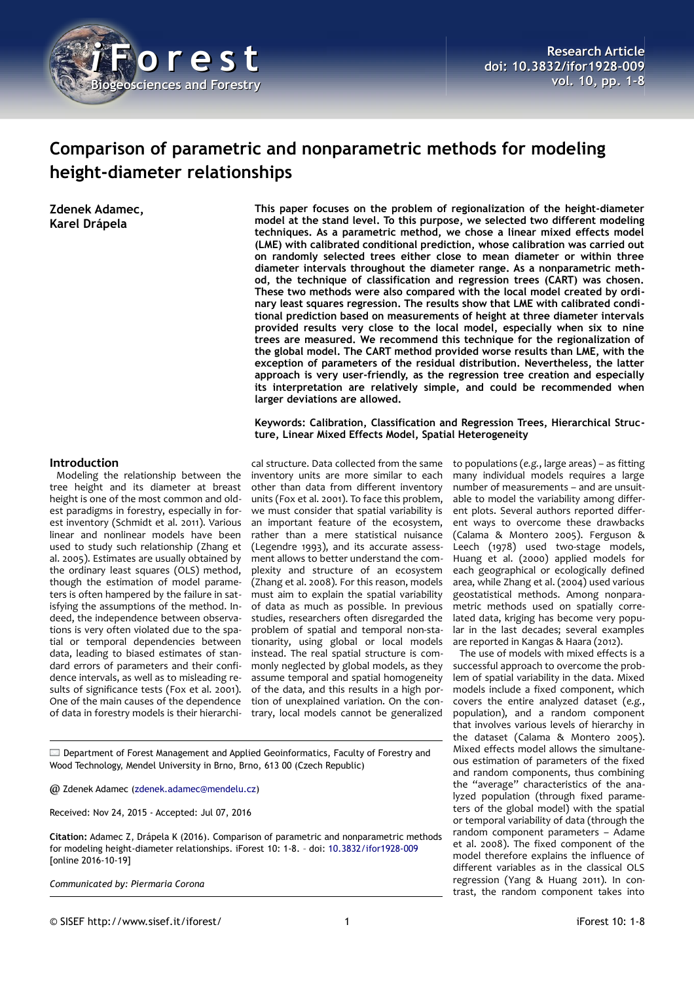

# **Comparison of parametric and nonparametric methods for modeling height-diameter relationships**

**Zdenek Adamec, Karel Drápela**

**This paper focuses on the problem of regionalization of the height-diameter model at the stand level. To this purpose, we selected two different modeling techniques. As a parametric method, we chose a linear mixed effects model (LME) with calibrated conditional prediction, whose calibration was carried out on randomly selected trees either close to mean diameter or within three diameter intervals throughout the diameter range. As a nonparametric method, the technique of classification and regression trees (CART) was chosen. These two methods were also compared with the local model created by ordinary least squares regression. The results show that LME with calibrated conditional prediction based on measurements of height at three diameter intervals provided results very close to the local model, especially when six to nine trees are measured. We recommend this technique for the regionalization of the global model. The CART method provided worse results than LME, with the exception of parameters of the residual distribution. Nevertheless, the latter approach is very user-friendly, as the regression tree creation and especially its interpretation are relatively simple, and could be recommended when larger deviations are allowed.**

**Keywords: Calibration, Classification and Regression Trees, Hierarchical Structure, Linear Mixed Effects Model, Spatial Heterogeneity**

#### **Introduction**

Modeling the relationship between the tree height and its diameter at breast height is one of the most common and oldest paradigms in forestry, especially in forest inventory (Schmidt et al. 2011). Various linear and nonlinear models have been used to study such relationship (Zhang et al. 2005). Estimates are usually obtained by the ordinary least squares (OLS) method. though the estimation of model parameters is often hampered by the failure in satisfying the assumptions of the method. Indeed, the independence between observations is very often violated due to the spatial or temporal dependencies between data, leading to biased estimates of standard errors of parameters and their confidence intervals, as well as to misleading results of significance tests (Fox et al. 2001). One of the main causes of the dependence of data in forestry models is their hierarchi-

cal structure. Data collected from the same inventory units are more similar to each other than data from different inventory units (Fox et al. 2001). To face this problem, we must consider that spatial variability is an important feature of the ecosystem, rather than a mere statistical nuisance (Legendre 1993), and its accurate assessment allows to better understand the complexity and structure of an ecosystem (Zhang et al. 2008). For this reason, models must aim to explain the spatial variability of data as much as possible. In previous studies, researchers often disregarded the problem of spatial and temporal non-stationarity, using global or local models instead. The real spatial structure is commonly neglected by global models, as they assume temporal and spatial homogeneity of the data, and this results in a high portion of unexplained variation. On the contrary, local models cannot be generalized

to populations (*e.g.*, large areas) – as fitting many individual models requires a large number of measurements – and are unsuitable to model the variability among different plots. Several authors reported different ways to overcome these drawbacks (Calama & Montero 2005). Ferguson & Leech (1978) used two-stage models, Huang et al. (2000) applied models for each geographical or ecologically defined area, while Zhang et al. (2004) used various geostatistical methods. Among nonparametric methods used on spatially correlated data, kriging has become very popular in the last decades; several examples are reported in Kangas & Haara (2012).

The use of models with mixed effects is a successful approach to overcome the problem of spatial variability in the data. Mixed models include a fixed component, which covers the entire analyzed dataset (*e.g.*, population), and a random component that involves various levels of hierarchy in the dataset (Calama & Montero 2005). Mixed effects model allows the simultaneous estimation of parameters of the fixed and random components, thus combining the "average" characteristics of the analyzed population (through fixed parameters of the global model) with the spatial or temporal variability of data (through the random component parameters – Adame et al. 2008). The fixed component of the model therefore explains the influence of different variables as in the classical OLS regression (Yang & Huang 2011). In contrast, the random component takes into

Department of Forest Management and Applied Geoinformatics, Faculty of Forestry and Wood Technology, Mendel University in Brno, Brno, 613 00 (Czech Republic)

@ Zdenek Adamec [\(zdenek.adamec@mendelu.cz\)](mailto:zdenek.adamec@mendelu.cz)

Received: Nov 24, 2015 - Accepted: Jul 07, 2016

**Citation:** Adamec Z, Drápela K (2016). Comparison of parametric and nonparametric methods for modeling height-diameter relationships. iForest 10: 1-8. – doi: [10.3832/ifor1928-009](http://www.sisef.it/iforest/contents/?id=ifor1928-009) [online 2016-10-19]

*Communicated by: Piermaria Corona*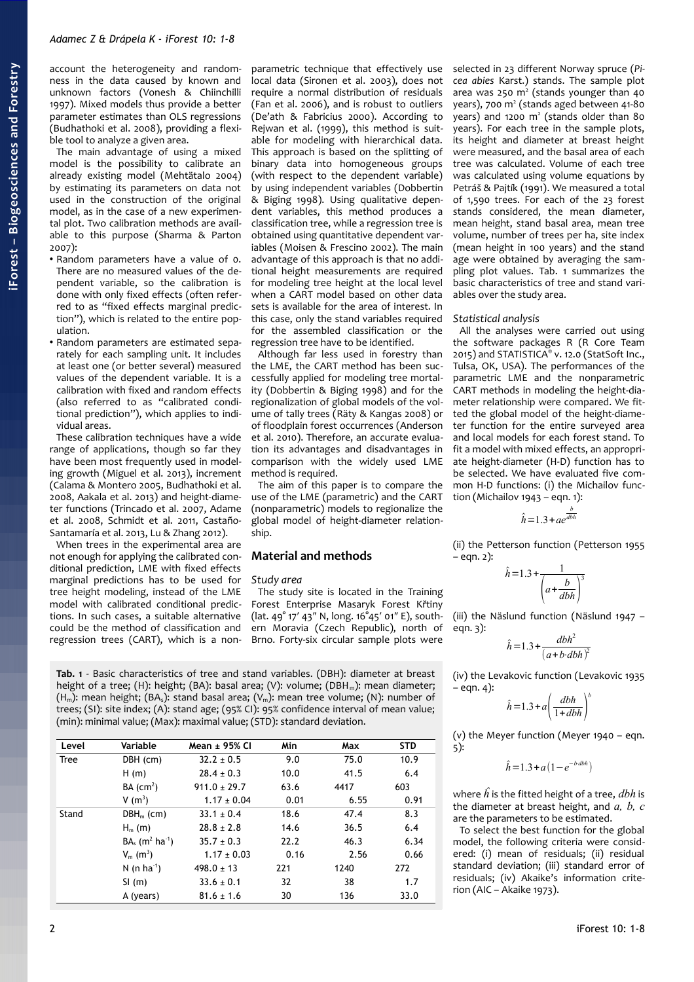account the heterogeneity and randomness in the data caused by known and unknown factors (Vonesh & Chiinchilli 1997). Mixed models thus provide a better parameter estimates than OLS regressions (Budhathoki et al. 2008), providing a flexible tool to analyze a given area.

The main advantage of using a mixed model is the possibility to calibrate an already existing model (Mehtätalo 2004) by estimating its parameters on data not used in the construction of the original model, as in the case of a new experimental plot. Two calibration methods are available to this purpose (Sharma & Parton 2007):

- Random parameters have a value of 0. There are no measured values of the dependent variable, so the calibration is done with only fixed effects (often referred to as "fixed effects marginal prediction"), which is related to the entire population.
- Random parameters are estimated separately for each sampling unit. It includes at least one (or better several) measured values of the dependent variable. It is a calibration with fixed and random effects (also referred to as "calibrated conditional prediction"), which applies to individual areas.

These calibration techniques have a wide range of applications, though so far they have been most frequently used in modeling growth (Miguel et al. 2013), increment (Calama & Montero 2005, Budhathoki et al. 2008, Aakala et al. 2013) and height-diameter functions (Trincado et al. 2007, Adame et al. 2008, Schmidt et al. 2011, Castaño-Santamaría et al. 2013, Lu & Zhang 2012).

When trees in the experimental area are not enough for applying the calibrated conditional prediction, LME with fixed effects marginal predictions has to be used for tree height modeling, instead of the LME model with calibrated conditional predictions. In such cases, a suitable alternative could be the method of classification and regression trees (CART), which is a non-

parametric technique that effectively use local data (Sironen et al. 2003), does not require a normal distribution of residuals (Fan et al. 2006), and is robust to outliers (De'ath & Fabricius 2000). According to Rejwan et al. (1999), this method is suitable for modeling with hierarchical data. This approach is based on the splitting of binary data into homogeneous groups (with respect to the dependent variable) by using independent variables (Dobbertin & Biging 1998). Using qualitative dependent variables, this method produces a classification tree, while a regression tree is obtained using quantitative dependent variables (Moisen & Frescino 2002). The main advantage of this approach is that no additional height measurements are required for modeling tree height at the local level when a CART model based on other data sets is available for the area of interest. In this case, only the stand variables required for the assembled classification or the regression tree have to be identified.

Although far less used in forestry than the LME, the CART method has been successfully applied for modeling tree mortality (Dobbertin & Biging 1998) and for the regionalization of global models of the volume of tally trees (Räty & Kangas 2008) or of floodplain forest occurrences (Anderson et al. 2010). Therefore, an accurate evaluation its advantages and disadvantages in comparison with the widely used LME method is required.

The aim of this paper is to compare the use of the LME (parametric) and the CART (nonparametric) models to regionalize the global model of height-diameter relationship.

# **Material and methods**

## *Study area*

The study site is located in the Training Forest Enterprise Masaryk Forest Křtiny (lat. 49° 17′ 43″ N, long. 16°45′ 01″ E), southern Moravia (Czech Republic), north of Brno. Forty-six circular sample plots were

<span id="page-1-0"></span>**Tab. 1** - Basic characteristics of tree and stand variables. (DBH): diameter at breast height of a tree; (H): height; (BA): basal area; (V): volume; (DBH<sub>m</sub>): mean diameter;  $(H_m)$ : mean height; (BA<sub>s</sub>): stand basal area; (V<sub>m</sub>): mean tree volume; (N): number of trees; (SI): site index; (A): stand age; (95% CI): 95% confidence interval of mean value; (min): minimal value; (Max): maximal value; (STD): standard deviation.

| Level       | Variable                                  | Mean ± 95% CI    | Min  | Max  | <b>STD</b> |
|-------------|-------------------------------------------|------------------|------|------|------------|
| <b>Tree</b> | DBH (cm)                                  | $32.2 \pm 0.5$   | 9.0  | 75.0 | 10.9       |
|             | H(m)                                      | $28.4 \pm 0.3$   | 10.0 | 41.5 | 6.4        |
|             | BA (cm <sup>2</sup> )                     | $911.0 \pm 29.7$ | 63.6 | 4417 | 603        |
|             | V $(m^3)$                                 | $1.17 \pm 0.04$  | 0.01 | 6.55 | 0.91       |
| Stand       | $DBH_m$ (cm)                              | $33.1 \pm 0.4$   | 18.6 | 47.4 | 8.3        |
|             | $H_m$ (m)                                 | $28.8 \pm 2.8$   | 14.6 | 36.5 | 6.4        |
|             | $BA_s$ (m <sup>2</sup> ha <sup>-1</sup> ) | $35.7 \pm 0.3$   | 22.2 | 46.3 | 6.34       |
|             | $V_m$ (m <sup>3</sup> )                   | $1.17 \pm 0.03$  | 0.16 | 2.56 | 0.66       |
|             | N (n ha <sup>-1</sup> )                   | $498.0 \pm 13$   | 221  | 1240 | 272        |
|             | $SI$ (m)                                  | $33.6 \pm 0.1$   | 32   | 38   | 1.7        |
|             | A (years)                                 | $81.6 \pm 1.6$   | 30   | 136  | 33.0       |

selected in 23 different Norway spruce (*Picea abies* Karst.) stands. The sample plot area was 250  $m<sup>2</sup>$  (stands younger than 40 years), 700 m<sup>2</sup> (stands aged between 41-80 years) and 1200 m<sup>2</sup> (stands older than 80 years). For each tree in the sample plots, its height and diameter at breast height were measured, and the basal area of each tree was calculated. Volume of each tree was calculated using volume equations by Petráš & Pajtík (1991). We measured a total of 1,590 trees. For each of the 23 forest stands considered, the mean diameter, mean height, stand basal area, mean tree volume, number of trees per ha, site index (mean height in 100 years) and the stand age were obtained by averaging the sampling plot values. [Tab. 1](#page-1-0) summarizes the basic characteristics of tree and stand variables over the study area.

# *Statistical analysis*

All the analyses were carried out using the software packages R (R Core Team 2015) and STATISTICA® v. 12.0 (StatSoft Inc., Tulsa, OK, USA). The performances of the parametric LME and the nonparametric CART methods in modeling the height-diameter relationship were compared. We fitted the global model of the height-diameter function for the entire surveyed area and local models for each forest stand. To fit a model with mixed effects, an appropriate height-diameter (H-D) function has to be selected. We have evaluated five common H-D functions: (i) the Michailov function (Michailov 1943 – eqn. 1):

$$
\hat{h} = 1.3 + ae^{\frac{b}{dbh}}
$$

(ii) the Petterson function (Petterson 1955 – eqn. 2):

$$
\hat{h} = 1.3 + \frac{1}{\left(a + \frac{b}{dbh}\right)^3}
$$

(iii) the Näslund function (Näslund 1947 – eqn. 3):

$$
\hat{h} = 1.3 + \frac{dbh^2}{(a+b\cdot dbh)^2}
$$

(iv) the Levakovic function (Levakovic 1935  $-$  eqn. 4): *b*

$$
\hat{h} = 1.3 + a \left(\frac{dbh}{1 + dbh}\right)^b
$$

(v) the Meyer function (Meyer 1940 – eqn. 5):

$$
\hat{h} = 1.3 + a(1 - e^{-b \, dbh})
$$

where *h* is the fitted height of a tree, *dbh* is the diameter at breast height, and *a, b, c* are the parameters to be estimated.

To select the best function for the global model, the following criteria were considered: (i) mean of residuals; (ii) residual standard deviation; (iii) standard error of residuals; (iv) Akaike's information criterion (AIC – Akaike 1973).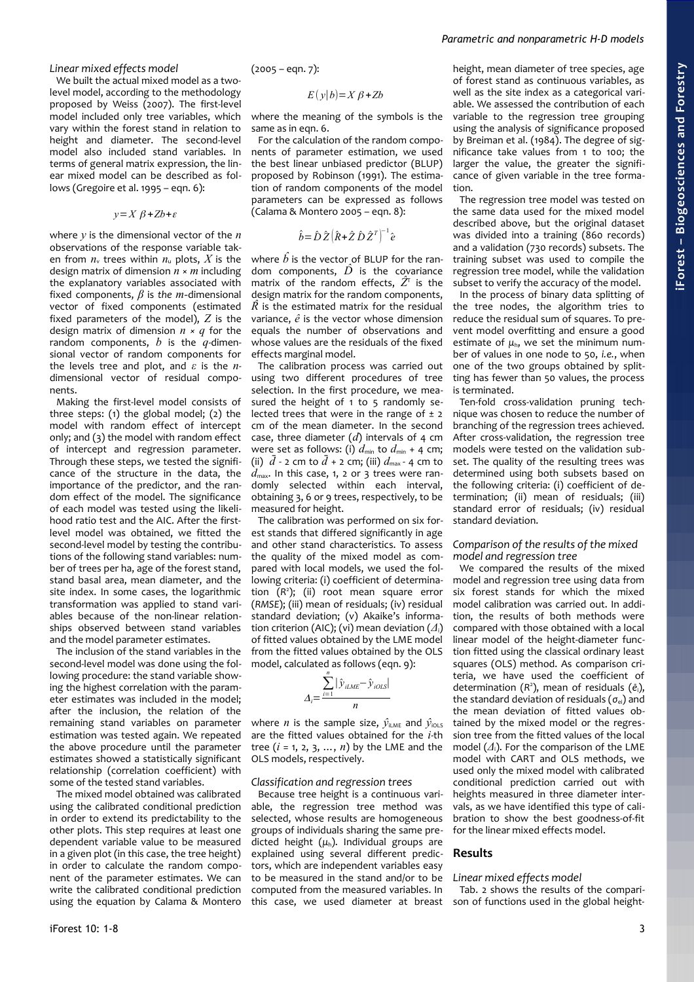**iForest –**

# *Linear mixed effects model*

We built the actual mixed model as a twolevel model, according to the methodology proposed by Weiss (2007). The first-level model included only tree variables, which vary within the forest stand in relation to height and diameter. The second-level model also included stand variables. In terms of general matrix expression, the linear mixed model can be described as follows (Gregoire et al. 1995 – eqn. 6):

$$
y = X \beta + Zb + \varepsilon
$$

where *y* is the dimensional vector of the *n* observations of the response variable taken from  $n_v$  trees within  $n_u$  plots, X is the design matrix of dimension *n* × *m* including the explanatory variables associated with fixed components, *β* is *the m-*dimensional vector of fixed components (estimated fixed parameters of the model), *Z* is the design matrix of dimension *n × q* for the random components, *b* is the *q-*dimensional vector of random components for the levels tree and plot, and *ε* is the *n*dimensional vector of residual components.

Making the first-level model consists of three steps: (1) the global model; (2) the model with random effect of intercept only; and (3) the model with random effect of intercept and regression parameter. Through these steps, we tested the significance of the structure in the data, the importance of the predictor, and the random effect of the model. The significance of each model was tested using the likelihood ratio test and the AIC. After the firstlevel model was obtained, we fitted the second-level model by testing the contributions of the following stand variables: number of trees per ha, age of the forest stand, stand basal area, mean diameter, and the site index. In some cases, the logarithmic transformation was applied to stand variables because of the non-linear relationships observed between stand variables and the model parameter estimates.

The inclusion of the stand variables in the second-level model was done using the following procedure: the stand variable showing the highest correlation with the parameter estimates was included in the model; after the inclusion, the relation of the remaining stand variables on parameter estimation was tested again. We repeated the above procedure until the parameter estimates showed a statistically significant relationship (correlation coefficient) with some of the tested stand variables.

The mixed model obtained was calibrated using the calibrated conditional prediction in order to extend its predictability to the other plots. This step requires at least one dependent variable value to be measured in a given plot (in this case, the tree height) in order to calculate the random component of the parameter estimates. We can write the calibrated conditional prediction using the equation by Calama & Montero  $(2005 - eqn. 7):$ 

$$
E(y|b)=X\beta+Zb
$$

where the meaning of the symbols is the same as in eqn. 6.

For the calculation of the random components of parameter estimation, we used the best linear unbiased predictor (BLUP) proposed by Robinson (1991). The estimation of random components of the model parameters can be expressed as follows (Calama & Montero 2005 – eqn. 8):

$$
\hat{b} = \hat{D}\,\hat{Z}\big(\hat{R} + \hat{Z}\,\hat{D}\,\hat{Z}^T\big)^{-1}\hat{e}
$$

where  $\hat{b}$  is the vector of BLUP for the random components,  $\hat{D}$  is the covariance matrix of the random effects,  $\hat{Z}^{\!\intercal}$  is the design matrix for the random components,  $\hat{R}$  is the estimated matrix for the residual variance, *e* is the vector whose dimension equals the number of observations and whose values are the residuals of the fixed effects marginal model.

The calibration process was carried out using two different procedures of tree selection. In the first procedure, we measured the height of  $1$  to  $5$  randomly selected trees that were in the range of  $\pm$  2 cm of the mean diameter. In the second case, three diameter (*d*) intervals of 4 cm were set as follows: (i)  $d_{\text{min}}$  to  $d_{\text{min}}$  + 4 cm; (ii)  $\bar{d}$  - 2 cm to  $\bar{d}$  + 2 cm; (iii)  $d_{\text{max}}$  - 4 cm to  $d_{\text{max}}$ . In this case, 1, 2 or 3 trees were randomly selected within each interval, obtaining 3, 6 or 9 trees, respectively, to be measured for height.

The calibration was performed on six forest stands that differed significantly in age and other stand characteristics. To assess the quality of the mixed model as compared with local models, we used the following criteria: (i) coefficient of determination (*R* 2 ); (ii) root mean square error (*RMSE*); (iii) mean of residuals; (iv) residual standard deviation; (v) Akaike's information criterion (AIC); (vi) mean deviation (*Δ*i) of fitted values obtained by the LME model from the fitted values obtained by the OLS model, calculated as follows (eqn. 9): *n*

$$
\Delta_i = \frac{\sum_{i=1}^{n} |\hat{y}_{iLME} - \hat{y}_{iOLS}|}{n}
$$

where *n* is the sample size,  $\hat{v}_{\text{inner}}$  and  $\hat{v}_{\text{max}}$ are the fitted values obtained for the *i*-th tree  $(i = 1, 2, 3, ..., n)$  by the LME and the OLS models, respectively.

#### *Classification and regression trees*

Because tree height is a continuous variable, the regression tree method was selected, whose results are homogeneous groups of individuals sharing the same predicted height (*μ*h). Individual groups are explained using several different predictors, which are independent variables easy to be measured in the stand and/or to be computed from the measured variables. In this case, we used diameter at breast

height, mean diameter of tree species, age of forest stand as continuous variables, as well as the site index as a categorical variable. We assessed the contribution of each variable to the regression tree grouping using the analysis of significance proposed by Breiman et al. (1984). The degree of significance take values from 1 to 100; the larger the value, the greater the significance of given variable in the tree formation.

*Parametric and nonparametric H-D models*

The regression tree model was tested on the same data used for the mixed model described above, but the original dataset was divided into a training (860 records) and a validation (730 records) subsets. The training subset was used to compile the regression tree model, while the validation subset to verify the accuracy of the model.

In the process of binary data splitting of the tree nodes, the algorithm tries to reduce the residual sum of squares. To prevent model overfitting and ensure a good estimate of  $\mu_h$ , we set the minimum number of values in one node to 50, *i.e.*, when one of the two groups obtained by splitting has fewer than 50 values, the process is terminated.

Ten-fold cross-validation pruning technique was chosen to reduce the number of branching of the regression trees achieved. After cross-validation, the regression tree models were tested on the validation subset. The quality of the resulting trees was determined using both subsets based on the following criteria: (i) coefficient of determination; (ii) mean of residuals; (iii) standard error of residuals; (iv) residual standard deviation.

## *Comparison of the results of the mixed model and regression tree*

We compared the results of the mixed model and regression tree using data from six forest stands for which the mixed model calibration was carried out. In addition, the results of both methods were compared with those obtained with a local linear model of the height-diameter function fitted using the classical ordinary least squares (OLS) method. As comparison criteria, we have used the coefficient of determination (*R* 2 ), mean of residuals (*e*i), the standard deviation of residuals (*σ*ei) and the mean deviation of fitted values obtained by the mixed model or the regression tree from the fitted values of the local model (*Δ*i). For the comparison of the LME model with CART and OLS methods, we used only the mixed model with calibrated conditional prediction carried out with heights measured in three diameter intervals, as we have identified this type of calibration to show the best goodness-of-fit for the linear mixed effects model.

#### **Results**

#### *Linear mixed effects model*

[Tab. 2](#page-3-0) shows the results of the comparison of functions used in the global height-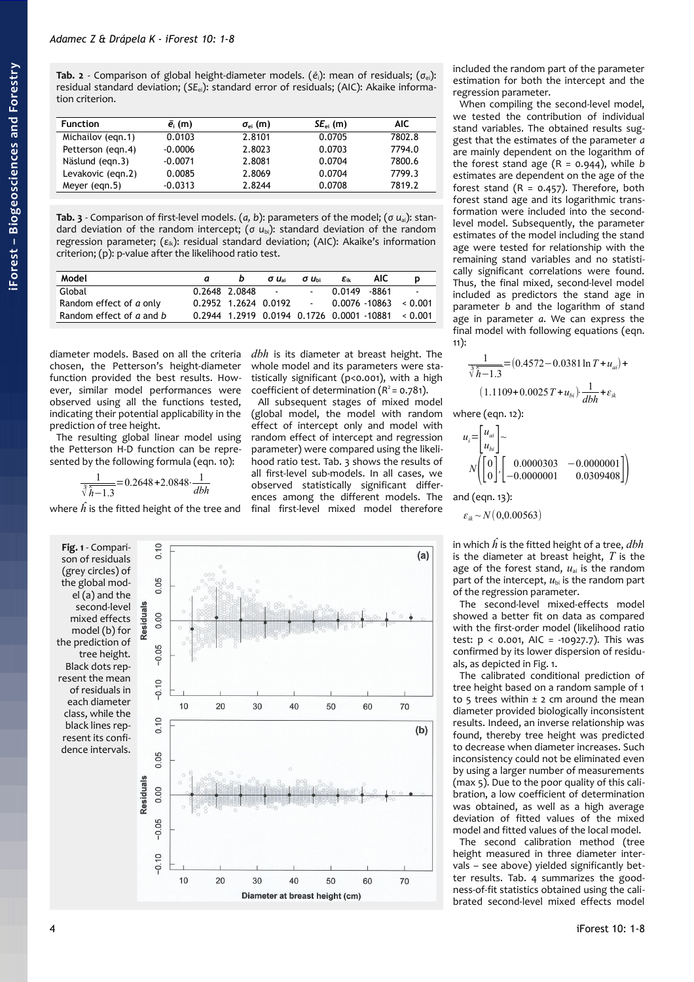<span id="page-3-0"></span>**Tab. 2** - Comparison of global height-diameter models. (*e*i): mean of residuals; (*σ*ei): residual standard deviation; (*SE*ei): standard error of residuals; (AIC): Akaike information criterion.

| <b>Function</b>   | $\bar{e}_{i}$ (m) | $\sigma_{ei}$ (m) | $SE_{ei}$ (m) | AIC.   |
|-------------------|-------------------|-------------------|---------------|--------|
| Michailov (egn.1) | 0.0103            | 2.8101            | 0.0705        | 7802.8 |
| Petterson (egn.4) | $-0.0006$         | 2.8023            | 0.0703        | 7794.0 |
| Näslund (egn.3)   | $-0.0071$         | 2.8081            | 0.0704        | 7800.6 |
| Levakovic (egn.2) | 0.0085            | 2.8069            | 0.0704        | 7799.3 |
| Meyer (eqn.5)     | $-0.0313$         | 2.8244            | 0.0708        | 7819.2 |

<span id="page-3-2"></span>**Tab. 3** - Comparison of first-level models. (*a, b*): parameters of the model; (*σ u*ai): standard deviation of the random intercept; (*σ u*bi): standard deviation of the random regression parameter; (ε<sub>ik</sub>): residual standard deviation; (AIC): Akaike's information criterion; (p): p-value after the likelihood ratio test.

| Model                    | b                      | $\sigma u_{\rm ai}$      | $\sigma u_{\rm bi}$ | $\epsilon_{ik}$ | <b>AIC</b> |                                                    |
|--------------------------|------------------------|--------------------------|---------------------|-----------------|------------|----------------------------------------------------|
| Global                   | 0.2648 2.0848          | <b>Contract Contract</b> | $\sim 100$          | 0.0149 - 8861   |            | $\sim 100$                                         |
| Random effect of a only  | $0.2952$ 1.2624 0.0192 |                          |                     |                 |            | $0.0076 - 10863 \le 0.001$                         |
| Random effect of a and b |                        |                          |                     |                 |            | $0.2944$ 1.2919 0.0194 0.1726 0.0001 10881 < 0.001 |

diameter models. Based on all the criteria chosen, the Petterson's height-diameter function provided the best results. However, similar model performances were observed using all the functions tested, indicating their potential applicability in the prediction of tree height.

The resulting global linear model using the Petterson H-D function can be represented by the following formula (eqn. 10):

$$
\frac{1}{\sqrt[3]{\hat{h}-1.3}} = 0.2648 + 2.0848 \cdot \frac{1}{dbh}
$$

where  $\hat{h}$  is the fitted height of the tree and

<span id="page-3-1"></span>**Fig. 1** - Comparison of residuals (grey circles) of the global mod $e^{i(a)}$  and the second-level mixed effects model (b) for the prediction of tree height. Black dots represent the mean of residuals in each diameter class, while the black lines represent its confidence intervals.



(global model, the model with random effect of intercept only and model with random effect of intercept and regression parameter) were compared using the likelihood ratio test. [Tab. 3](#page-3-2) shows the results of all first-level sub-models. In all cases, we observed statistically significant differences among the different models. The final first-level mixed model therefore



included the random part of the parameter estimation for both the intercept and the regression parameter.

When compiling the second-level model, we tested the contribution of individual stand variables. The obtained results suggest that the estimates of the parameter *a* are mainly dependent on the logarithm of the forest stand age  $(R = 0.944)$ , while *b* estimates are dependent on the age of the forest stand  $(R = 0.457)$ . Therefore, both forest stand age and its logarithmic transformation were included into the secondlevel model. Subsequently, the parameter estimates of the model including the stand age were tested for relationship with the remaining stand variables and no statistically significant correlations were found. Thus, the final mixed, second-level model included as predictors the stand age in parameter *b* and the logarithm of stand age in parameter *a*. We can express the final model with following equations (eqn. 11):

$$
\frac{1}{\sqrt[3]{h} - 1.3} = (0.4572 - 0.0381 \ln T + u_{ai}) + (1.1109 + 0.0025 T + u_{bi}) \cdot \frac{1}{dbh} + \varepsilon_{ik}
$$

where (eqn. 12):

$$
u_i = \begin{bmatrix} u_{ai} \\ u_{bi} \end{bmatrix} \sim N \begin{pmatrix} 0 \\ 0 \end{pmatrix} \begin{bmatrix} 0.0000303 & -0.0000001 \\ -0.0000001 & 0.0309408 \end{bmatrix}
$$

and (eqn. 13):

$$
\varepsilon_{ik} \sim N(0,0.00563)
$$

in which *h* is the fitted height of a tree, *dbh* is the diameter at breast height, *T* is the age of the forest stand,  $u_{ai}$  is the random part of the intercept,  $u_{bi}$  is the random part of the regression parameter.

The second-level mixed-effects model showed a better fit on data as compared with the first-order model (likelihood ratio test:  $p < 0.001$ , AIC = -10927.7). This was confirmed by its lower dispersion of residuals, as depicted in [Fig. 1.](#page-3-1)

The calibrated conditional prediction of tree height based on a random sample of 1 to 5 trees within  $\pm$  2 cm around the mean diameter provided biologically inconsistent results. Indeed, an inverse relationship was found, thereby tree height was predicted to decrease when diameter increases. Such inconsistency could not be eliminated even by using a larger number of measurements (max 5). Due to the poor quality of this calibration, a low coefficient of determination was obtained, as well as a high average deviation of fitted values of the mixed model and fitted values of the local model.

The second calibration method (tree height measured in three diameter intervals – see above) yielded significantly better results. [Tab. 4](#page-4-0) summarizes the goodness-of-fit statistics obtained using the calibrated second-level mixed effects model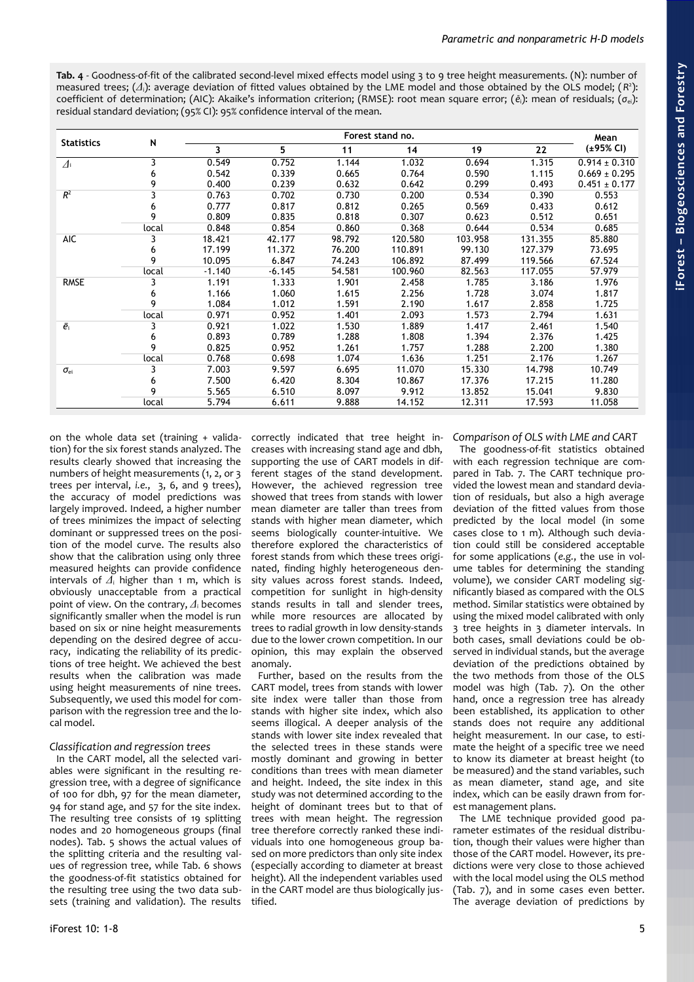<span id="page-4-0"></span>**Tab. 4** - Goodness-of-fit of the calibrated second-level mixed effects model using 3 to 9 tree height measurements. (N): number of measured trees; (*Δ*i): average deviation of fitted values obtained by the LME model and those obtained by the OLS model; (*R* 2 ): coefficient of determination; (AIC): Akaike's information criterion; (RMSE): root mean square error; (*ē*i): mean of residuals; (*σ*ei): residual standard deviation; (95% CI): 95% confidence interval of the mean.

| <b>Statistics</b> |       |          | Forest stand no. |        |         |         |         |                   |
|-------------------|-------|----------|------------------|--------|---------|---------|---------|-------------------|
|                   | N     | 3        | 5                | 11     | 14      | 19      | 22      | $(+95%$ CI)       |
| $\varDelta$       | 3     | 0.549    | 0.752            | 1.144  | 1.032   | 0.694   | 1.315   | $0.914 \pm 0.310$ |
|                   | 6     | 0.542    | 0.339            | 0.665  | 0.764   | 0.590   | 1.115   | $0.669 \pm 0.295$ |
|                   | 9     | 0.400    | 0.239            | 0.632  | 0.642   | 0.299   | 0.493   | $0.451 \pm 0.177$ |
| $R^2$             | 3     | 0.763    | 0.702            | 0.730  | 0.200   | 0.534   | 0.390   | 0.553             |
|                   | 6     | 0.777    | 0.817            | 0.812  | 0.265   | 0.569   | 0.433   | 0.612             |
|                   | 9     | 0.809    | 0.835            | 0.818  | 0.307   | 0.623   | 0.512   | 0.651             |
|                   | local | 0.848    | 0.854            | 0.860  | 0.368   | 0.644   | 0.534   | 0.685             |
| AIC               | 3     | 18.421   | 42.177           | 98.792 | 120.580 | 103.958 | 131.355 | 85.880            |
|                   | 6     | 17.199   | 11.372           | 76.200 | 110.891 | 99.130  | 127.379 | 73.695            |
|                   | 9     | 10.095   | 6.847            | 74.243 | 106.892 | 87.499  | 119.566 | 67.524            |
|                   | local | $-1.140$ | $-6.145$         | 54.581 | 100.960 | 82.563  | 117.055 | 57.979            |
| <b>RMSE</b>       | 3     | 1.191    | 1.333            | 1.901  | 2.458   | 1.785   | 3.186   | 1.976             |
|                   | 6     | 1.166    | 1.060            | 1.615  | 2.256   | 1.728   | 3.074   | 1.817             |
|                   | 9     | 1.084    | 1.012            | 1.591  | 2.190   | 1.617   | 2.858   | 1.725             |
|                   | local | 0.971    | 0.952            | 1.401  | 2.093   | 1.573   | 2.794   | 1.631             |
| $\bar{e}_{i}$     | 3     | 0.921    | 1.022            | 1.530  | 1.889   | 1.417   | 2.461   | 1.540             |
|                   | 6     | 0.893    | 0.789            | 1.288  | 1.808   | 1.394   | 2.376   | 1.425             |
|                   | 9     | 0.825    | 0.952            | 1.261  | 1.757   | 1.288   | 2.200   | 1.380             |
|                   | local | 0.768    | 0.698            | 1.074  | 1.636   | 1.251   | 2.176   | 1.267             |
| $\sigma_{\rm ei}$ | 3     | 7.003    | 9.597            | 6.695  | 11.070  | 15.330  | 14.798  | 10.749            |
|                   | 6     | 7.500    | 6.420            | 8.304  | 10.867  | 17.376  | 17.215  | 11.280            |
|                   | 9     | 5.565    | 6.510            | 8.097  | 9.912   | 13.852  | 15.041  | 9.830             |
|                   | local | 5.794    | 6.611            | 9.888  | 14.152  | 12.311  | 17.593  | 11.058            |

on the whole data set (training + validation) for the six forest stands analyzed. The results clearly showed that increasing the numbers of height measurements (1, 2, or 3 trees per interval, *i.e.*, 3, 6, and 9 trees), the accuracy of model predictions was largely improved. Indeed, a higher number of trees minimizes the impact of selecting dominant or suppressed trees on the position of the model curve. The results also show that the calibration using only three measured heights can provide confidence intervals of *Δ*<sup>i</sup> higher than 1 m, which is obviously unacceptable from a practical point of view. On the contrary, *Δ*<sup>i</sup> becomes significantly smaller when the model is run based on six or nine height measurements depending on the desired degree of accuracy, indicating the reliability of its predictions of tree height. We achieved the best results when the calibration was made using height measurements of nine trees. Subsequently, we used this model for comparison with the regression tree and the local model.

# *Classification and regression trees*

In the CART model, all the selected variables were significant in the resulting regression tree, with a degree of significance of 100 for dbh, 97 for the mean diameter, 94 for stand age, and 57 for the site index. The resulting tree consists of 19 splitting nodes and 20 homogeneous groups (final nodes). [Tab. 5](#page-5-2) shows the actual values of the splitting criteria and the resulting values of regression tree, while [Tab. 6](#page-5-1) shows the goodness-of-fit statistics obtained for the resulting tree using the two data subsets (training and validation). The results

correctly indicated that tree height in-*Comparison of OLS with LME and CART* creases with increasing stand age and dbh, supporting the use of CART models in different stages of the stand development. However, the achieved regression tree showed that trees from stands with lower mean diameter are taller than trees from stands with higher mean diameter, which seems biologically counter-intuitive. We therefore explored the characteristics of forest stands from which these trees originated, finding highly heterogeneous density values across forest stands. Indeed, competition for sunlight in high-density stands results in tall and slender trees, while more resources are allocated by trees to radial growth in low density-stands due to the lower crown competition. In our opinion, this may explain the observed anomaly.

Further, based on the results from the CART model, trees from stands with lower site index were taller than those from stands with higher site index, which also seems illogical. A deeper analysis of the stands with lower site index revealed that the selected trees in these stands were mostly dominant and growing in better conditions than trees with mean diameter and height. Indeed, the site index in this study was not determined according to the height of dominant trees but to that of trees with mean height. The regression tree therefore correctly ranked these individuals into one homogeneous group based on more predictors than only site index (especially according to diameter at breast height). All the independent variables used in the CART model are thus biologically justified.

The goodness-of-fit statistics obtained with each regression technique are compared in [Tab. 7.](#page-5-0) The CART technique provided the lowest mean and standard deviation of residuals, but also a high average deviation of the fitted values from those predicted by the local model (in some cases close to 1 m). Although such deviation could still be considered acceptable for some applications (*e.g.*, the use in volume tables for determining the standing volume), we consider CART modeling significantly biased as compared with the OLS method. Similar statistics were obtained by using the mixed model calibrated with only 3 tree heights in 3 diameter intervals. In both cases, small deviations could be observed in individual stands, but the average deviation of the predictions obtained by the two methods from those of the OLS model was high [\(Tab. 7\)](#page-5-0). On the other hand, once a regression tree has already been established, its application to other stands does not require any additional height measurement. In our case, to estimate the height of a specific tree we need to know its diameter at breast height (to be measured) and the stand variables, such as mean diameter, stand age, and site index, which can be easily drawn from forest management plans.

The LME technique provided good parameter estimates of the residual distribution, though their values were higher than those of the CART model. However, its predictions were very close to those achieved with the local model using the OLS method [\(Tab. 7\)](#page-5-0), and in some cases even better. The average deviation of predictions by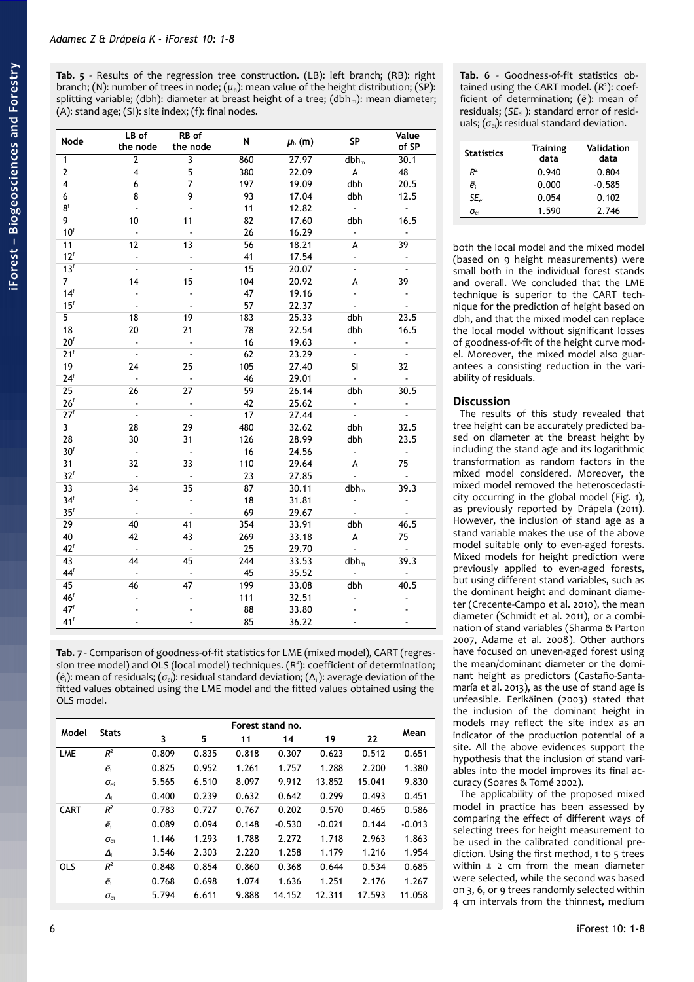<span id="page-5-2"></span>**Tab. 5** - Results of the regression tree construction. (LB): left branch; (RB): right branch; (N): number of trees in node; (*μ*h): mean value of the height distribution; (SP): splitting variable; (dbh): diameter at breast height of a tree; (dbh<sub>m</sub>): mean diameter; (A): stand age; (SI): site index; (f): final nodes.

| Node                    | LB of<br>the node       | RB of<br>the node    | N   | $\mu_h$ (m) | <b>SP</b>                 | Value<br>of SP              |
|-------------------------|-------------------------|----------------------|-----|-------------|---------------------------|-----------------------------|
| 1                       | $\mathbf{2}$            | 3                    | 860 | 27.97       | $dbh_m$                   | 30.1                        |
| 2                       | $\overline{\mathbf{4}}$ | 5                    | 380 | 22.09       | A                         | 48                          |
| 4                       | 6                       | $\overline{7}$       | 197 | 19.09       | dbh                       | 20.5                        |
| 6                       | 8                       | 9                    | 93  | 17.04       | dbh                       | 12.5                        |
| 8 <sup>f</sup>          | ä,                      |                      | 11  | 12.82       | ä.                        | $\sim$                      |
| 9                       | 10                      | 11                   | 82  | 17.60       | dbh                       | 16.5                        |
| $10^f$                  | ÷,                      | $\overline{a}$       | 26  | 16.29       | ÷.                        | $\ddot{\phantom{a}}$        |
| 11                      | 12                      | 13                   | 56  | 18.21       | A                         | 39                          |
| $12^f$                  | ÷                       | $\blacksquare$       | 41  | 17.54       | ÷.                        | $\blacksquare$              |
| 13 <sup>f</sup>         | L,                      | $\ddot{\phantom{a}}$ | 15  | 20.07       | ä,                        | $\overline{\phantom{a}}$    |
| $\overline{7}$          | 14                      | 15                   | 104 | 20.92       | A                         | 39                          |
| 14 <sup>f</sup>         | ÷,                      | $\blacksquare$       | 47  | 19.16       | ÷.                        | $\bullet$                   |
| 15 <sup>f</sup>         | $\ddot{\phantom{a}}$    | $\mathbf{r}$         | 57  | 22.37       | $\mathbb{Z}^{\mathbb{Z}}$ | $\mathbb{Z}^2$              |
| 5                       | 18                      | 19                   | 183 | 25.33       | dbh                       | 23.5                        |
| 18                      | 20                      | 21                   | 78  | 22.54       | dbh                       | 16.5                        |
| 20 <sup>f</sup>         | L,                      | $\overline{a}$       | 16  | 19.63       | $\omega$                  | $\blacksquare$              |
| 21 <sup>f</sup>         | $\sim$                  | $\sim$               | 62  | 23.29       | $\omega_{\rm c}$          | $\sim$                      |
| 19                      | 24                      | 25                   | 105 | 27.40       | SI.                       | 32                          |
| 24 <sup>f</sup>         | $\Box$                  | $\sim$               | 46  | 29.01       | $\omega_{\rm c}$          | $\sim$                      |
| 25                      | 26                      | 27                   | 59  | 26.14       | dbh                       | 30.5                        |
| 26 <sup>f</sup>         | L,                      | $\blacksquare$       | 42  | 25.62       | ÷.                        | $\blacksquare$              |
| 27 <sup>f</sup>         | $\sim$                  | $\sim$               | 17  | 27.44       | $\mathbb{Z}^{\mathbb{Z}}$ | $\mathbf{r}$                |
| $\overline{\mathbf{3}}$ | 28                      | 29                   | 480 | 32.62       | dbh                       | 32.5                        |
| 28                      | 30                      | 31                   | 126 | 28.99       | dbh                       | 23.5                        |
| 30 <sup>f</sup>         | $\blacksquare$          | $\sim$               | 16  | 24.56       | $\blacksquare$            | $\sim$                      |
| 31                      | 32                      | 33                   | 110 | 29.64       | A                         | 75                          |
| 32 <sup>f</sup>         | ä,                      | $\ddot{\phantom{a}}$ | 23  | 27.85       | ä,                        | $\mathbf{u}$                |
| 33                      | 34                      | 35                   | 87  | 30.11       | $dbh_m$                   | 39.3                        |
| 34 <sup>f</sup>         | $\Box$                  | $\blacksquare$       | 18  | 31.81       | ÷.                        | $\blacksquare$              |
| 35 <sup>f</sup>         | $\sim$                  | $\sim$               | 69  | 29.67       | $\omega$                  | $\sim$                      |
| 29                      | 40                      | 41                   | 354 | 33.91       | dbh                       | 46.5                        |
| 40                      | 42                      | 43                   | 269 | 33.18       | A                         | 75                          |
| $42^f$                  | $\bar{\mathcal{A}}$     | $\sim$               | 25  | 29.70       | $\omega$                  | $\mathcal{L}_{\mathcal{A}}$ |
| 43                      | 44                      | 45                   | 244 | 33.53       | $dbh_m$                   | 39.3                        |
| $44^f$                  | ä,                      | $\ddot{\phantom{a}}$ | 45  | 35.52       | ÷.                        | $\sim$                      |
| 45                      | 46                      | 47                   | 199 | 33.08       | dbh                       | 40.5                        |
| 46 <sup>f</sup>         |                         |                      | 111 | 32.51       |                           |                             |
| 47 <sup>1</sup>         |                         |                      | 88  | 33.80       |                           |                             |
| 41 <sup>f</sup>         | $\blacksquare$          | $\overline{a}$       | 85  | 36.22       | $\blacksquare$            | $\blacksquare$              |

<span id="page-5-0"></span>**Tab. 7** - Comparison of goodness-of-fit statistics for LME (mixed model), CART (regression tree model) and OLS (local model) techniques. (R<sup>2</sup>): coefficient of determination; (*ē*i): mean of residuals; (*σ*ei): residual standard deviation; (Δi ): average deviation of the fitted values obtained using the LME model and the fitted values obtained using the OLS model.

| Model       | <b>Stats</b>      |       |       |       | Forest stand no. |          |        | Mean     |
|-------------|-------------------|-------|-------|-------|------------------|----------|--------|----------|
|             |                   | 3     | 5     | 11    | 14               | 19       | 22     |          |
| LME         | $R^2$             | 0.809 | 0.835 | 0.818 | 0.307            | 0.623    | 0.512  | 0.651    |
|             | $\bar{e}_i$       | 0.825 | 0.952 | 1.261 | 1.757            | 1.288    | 2.200  | 1.380    |
|             | $\sigma_{\rm ei}$ | 5.565 | 6.510 | 8.097 | 9.912            | 13.852   | 15.041 | 9.830    |
|             | $\Delta_i$        | 0.400 | 0.239 | 0.632 | 0.642            | 0.299    | 0.493  | 0.451    |
| <b>CART</b> | $R^2$             | 0.783 | 0.727 | 0.767 | 0.202            | 0.570    | 0.465  | 0.586    |
|             | $\bar{e}_i$       | 0.089 | 0.094 | 0.148 | $-0.530$         | $-0.021$ | 0.144  | $-0.013$ |
|             | $\sigma_{\rm ei}$ | 1.146 | 1.293 | 1.788 | 2.272            | 1.718    | 2.963  | 1.863    |
|             | $\Delta_i$        | 3.546 | 2.303 | 2.220 | 1.258            | 1.179    | 1.216  | 1.954    |
| <b>OLS</b>  | $R^2$             | 0.848 | 0.854 | 0.860 | 0.368            | 0.644    | 0.534  | 0.685    |
|             | $\bar{e}_i$       | 0.768 | 0.698 | 1.074 | 1.636            | 1.251    | 2.176  | 1.267    |
|             | $\sigma_{\rm ei}$ | 5.794 | 6.611 | 9.888 | 14.152           | 12.311   | 17.593 | 11.058   |

<span id="page-5-1"></span>**Tab. 6** - Goodness-of-fit statistics obtained using the CART model. (R<sup>2</sup>): coefficient of determination; (*ē*i): mean of residuals; (*SE*ei ): standard error of residuals; (σ<sub>ei</sub>): residual standard deviation.

| <b>Statistics</b>                          | <b>Training</b><br>data | Validation<br>data |
|--------------------------------------------|-------------------------|--------------------|
| $R^2$                                      | 0.940                   | 0.804              |
| ē                                          | 0.000                   | $-0.585$           |
| $SE_{ci}$                                  | 0.054                   | 0.102              |
| $\sigma_{\scriptscriptstyle{\mathsf{ei}}}$ | 1.590                   | 2.746              |

both the local model and the mixed model (based on 9 height measurements) were small both in the individual forest stands and overall. We concluded that the LME technique is superior to the CART technique for the prediction of height based on dbh, and that the mixed model can replace the local model without significant losses of goodness-of-fit of the height curve model. Moreover, the mixed model also guarantees a consisting reduction in the variability of residuals.

# **Discussion**

The results of this study revealed that tree height can be accurately predicted based on diameter at the breast height by including the stand age and its logarithmic transformation as random factors in the mixed model considered. Moreover, the mixed model removed the heteroscedasticity occurring in the global model [\(Fig. 1\)](#page-3-1), as previously reported by Drápela (2011). However, the inclusion of stand age as a stand variable makes the use of the above model suitable only to even-aged forests. Mixed models for height prediction were previously applied to even-aged forests, but using different stand variables, such as the dominant height and dominant diameter (Crecente-Campo et al. 2010), the mean diameter (Schmidt et al. 2011), or a combination of stand variables (Sharma & Parton 2007, Adame et al. 2008). Other authors have focused on uneven-aged forest using the mean/dominant diameter or the dominant height as predictors (Castaño-Santamaría et al. 2013), as the use of stand age is unfeasible. Eerikäinen (2003) stated that the inclusion of the dominant height in models may reflect the site index as an indicator of the production potential of a site. All the above evidences support the hypothesis that the inclusion of stand variables into the model improves its final accuracy (Soares & Tomé 2002).

The applicability of the proposed mixed model in practice has been assessed by comparing the effect of different ways of selecting trees for height measurement to be used in the calibrated conditional prediction. Using the first method, 1 to 5 trees within  $\pm$  2 cm from the mean diameter were selected, while the second was based on 3, 6, or 9 trees randomly selected within 4 cm intervals from the thinnest, medium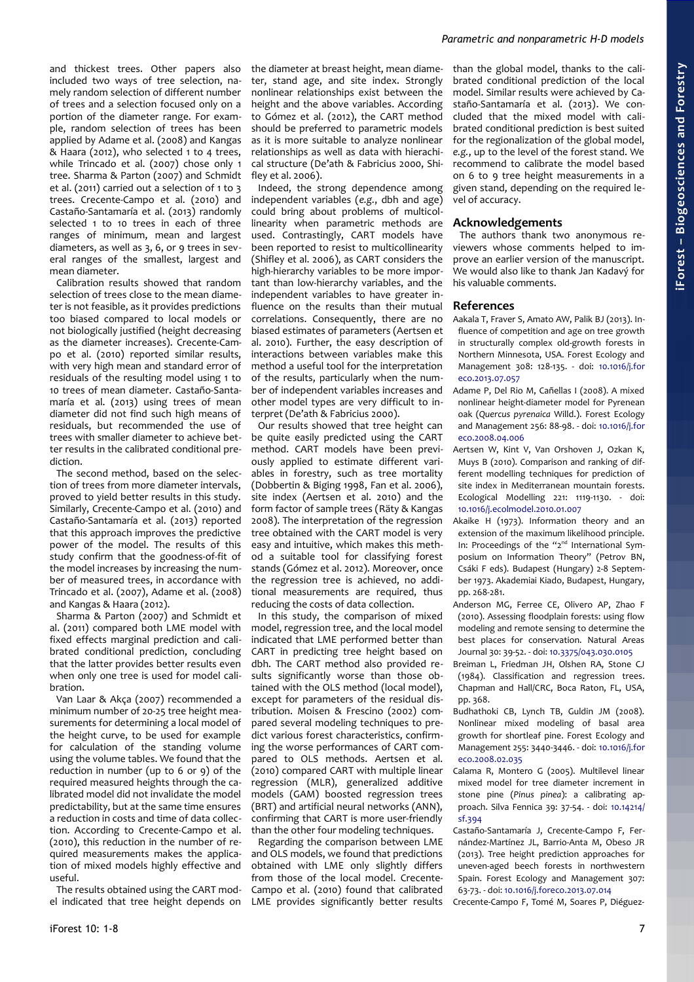and thickest trees. Other papers also included two ways of tree selection, namely random selection of different number of trees and a selection focused only on a portion of the diameter range. For example, random selection of trees has been applied by Adame et al. (2008) and Kangas & Haara (2012), who selected 1 to 4 trees, while Trincado et al. (2007) chose only 1 tree. Sharma & Parton (2007) and Schmidt et al. (2011) carried out a selection of 1 to 3 trees. Crecente-Campo et al. (2010) and Castaño-Santamaría et al. (2013) randomly selected 1 to 10 trees in each of three ranges of minimum, mean and largest diameters, as well as 3, 6, or 9 trees in several ranges of the smallest, largest and mean diameter.

Calibration results showed that random selection of trees close to the mean diameter is not feasible, as it provides predictions too biased compared to local models or not biologically justified (height decreasing as the diameter increases). Crecente-Campo et al. (2010) reported similar results, with very high mean and standard error of residuals of the resulting model using 1 to 10 trees of mean diameter. Castaño-Santamaría et al. (2013) using trees of mean diameter did not find such high means of residuals, but recommended the use of trees with smaller diameter to achieve better results in the calibrated conditional prediction.

The second method, based on the selection of trees from more diameter intervals, proved to yield better results in this study. Similarly, Crecente-Campo et al. (2010) and Castaño-Santamaría et al. (2013) reported that this approach improves the predictive power of the model. The results of this study confirm that the goodness-of-fit of the model increases by increasing the number of measured trees, in accordance with Trincado et al. (2007), Adame et al. (2008) and Kangas & Haara (2012).

Sharma & Parton (2007) and Schmidt et al. (2011) compared both LME model with fixed effects marginal prediction and calibrated conditional prediction, concluding that the latter provides better results even when only one tree is used for model calibration.

Van Laar & Akça (2007) recommended a minimum number of 20-25 tree height measurements for determining a local model of the height curve, to be used for example for calculation of the standing volume using the volume tables. We found that the reduction in number (up to 6 or 9) of the required measured heights through the calibrated model did not invalidate the model predictability, but at the same time ensures a reduction in costs and time of data collection. According to Crecente-Campo et al. (2010), this reduction in the number of required measurements makes the application of mixed models highly effective and useful.

The results obtained using the CART model indicated that tree height depends on

the diameter at breast height, mean diameter, stand age, and site index. Strongly nonlinear relationships exist between the height and the above variables. According to Gómez et al. (2012), the CART method should be preferred to parametric models as it is more suitable to analyze nonlinear relationships as well as data with hierachical structure (De'ath & Fabricius 2000, Shifley et al. 2006).

Indeed, the strong dependence among independent variables (*e.g.*, dbh and age) could bring about problems of multicollinearity when parametric methods are used. Contrastingly, CART models have been reported to resist to multicollinearity (Shifley et al. 2006), as CART considers the high-hierarchy variables to be more important than low-hierarchy variables, and the independent variables to have greater influence on the results than their mutual correlations. Consequently, there are no biased estimates of parameters (Aertsen et al. 2010). Further, the easy description of interactions between variables make this method a useful tool for the interpretation of the results, particularly when the number of independent variables increases and other model types are very difficult to interpret (De'ath & Fabricius 2000).

Our results showed that tree height can be quite easily predicted using the CART method. CART models have been previously applied to estimate different variables in forestry, such as tree mortality (Dobbertin & Biging 1998, Fan et al. 2006), site index (Aertsen et al. 2010) and the form factor of sample trees (Räty & Kangas 2008). The interpretation of the regression tree obtained with the CART model is very easy and intuitive, which makes this method a suitable tool for classifying forest stands (Gómez et al. 2012). Moreover, once the regression tree is achieved, no additional measurements are required, thus reducing the costs of data collection.

In this study, the comparison of mixed model, regression tree, and the local model indicated that LME performed better than CART in predicting tree height based on dbh. The CART method also provided results significantly worse than those obtained with the OLS method (local model), except for parameters of the residual distribution. Moisen & Frescino (2002) compared several modeling techniques to predict various forest characteristics, confirming the worse performances of CART compared to OLS methods. Aertsen et al. (2010) compared CART with multiple linear regression (MLR), generalized additive models (GAM) boosted regression trees (BRT) and artificial neural networks (ANN), confirming that CART is more user-friendly than the other four modeling techniques.

Regarding the comparison between LME and OLS models, we found that predictions obtained with LME only slightly differs from those of the local model. Crecente-Campo et al. (2010) found that calibrated LME provides significantly better results than the global model, thanks to the calibrated conditional prediction of the local model. Similar results were achieved by Castaño-Santamaría et al. (2013). We concluded that the mixed model with calibrated conditional prediction is best suited for the regionalization of the global model, *e.g.*, up to the level of the forest stand. We recommend to calibrate the model based on 6 to 9 tree height measurements in a given stand, depending on the required level of accuracy.

# **Acknowledgements**

The authors thank two anonymous reviewers whose comments helped to improve an earlier version of the manuscript. We would also like to thank Jan Kadavý for his valuable comments.

# **References**

- Aakala T, Fraver S, Amato AW, Palik BJ (2013). Influence of competition and age on tree growth in structurally complex old-growth forests in Northern Minnesota, USA. Forest Ecology and Management 308: 128-135. - doi: [10.1016/j.for](http://dx.doi.org/10.1016/j.foreco.2013.07.057) [eco.2013.07.057](http://dx.doi.org/10.1016/j.foreco.2013.07.057)
- Adame P, Del Rio M, Cañellas I (2008). A mixed nonlinear height-diameter model for Pyrenean oak (*Quercus pyrenaica* Willd.). Forest Ecology and Management 256: 88-98. - doi: [10.1016/j.for](http://dx.doi.org/10.1016/j.foreco.2008.04.006) [eco.2008.04.006](http://dx.doi.org/10.1016/j.foreco.2008.04.006)
- Aertsen W, Kint V, Van Orshoven J, Ozkan K, Muys B (2010). Comparison and ranking of different modelling techniques for prediction of site index in Mediterranean mountain forests. Ecological Modelling 221: 1119-1130. - doi: [10.1016/j.ecolmodel.2010.01.007](http://dx.doi.org/10.1016/j.ecolmodel.2010.01.007)
- Akaike H (1973). Information theory and an extension of the maximum likelihood principle. In: Proceedings of the "2<sup>nd</sup> International Symposium on Information Theory" (Petrov BN, Csáki F eds). Budapest (Hungary) 2-8 September 1973. Akademiai Kiado, Budapest, Hungary, pp. 268-281.
- Anderson MG, Ferree CE, Olivero AP, Zhao F (2010). Assessing floodplain forests: using flow modeling and remote sensing to determine the best places for conservation. Natural Areas Journal 30: 39-52. - doi: [10.3375/043.030.0105](http://dx.doi.org/10.3375/043.030.0105)
- Breiman L, Friedman JH, Olshen RA, Stone CJ (1984). Classification and regression trees. Chapman and Hall/CRC, Boca Raton, FL, USA, pp. 368.
- Budhathoki CB, Lynch TB, Guldin JM (2008). Nonlinear mixed modeling of basal area growth for shortleaf pine. Forest Ecology and Management 255: 3440-3446. - doi: [10.1016/j.for](http://dx.doi.org/10.1016/j.foreco.2008.02.035) [eco.2008.02.035](http://dx.doi.org/10.1016/j.foreco.2008.02.035)
- Calama R, Montero G (2005). Multilevel linear mixed model for tree diameter increment in stone pine (*Pinus pinea*): a calibrating approach. Silva Fennica 39: 37-54. - doi: [10.14214/](http://dx.doi.org/10.14214/sf.394) [sf.394](http://dx.doi.org/10.14214/sf.394)
- Castaño-Santamaría J, Crecente-Campo F, Fernández-Martínez JL, Barrio-Anta M, Obeso JR (2013). Tree height prediction approaches for uneven-aged beech forests in northwestern Spain. Forest Ecology and Management 307: 63-73. - doi: [10.1016/j.foreco.2013.07.014](http://dx.doi.org/10.1016/j.foreco.2013.07.014)

Crecente-Campo F, Tomé M, Soares P, Diéguez-